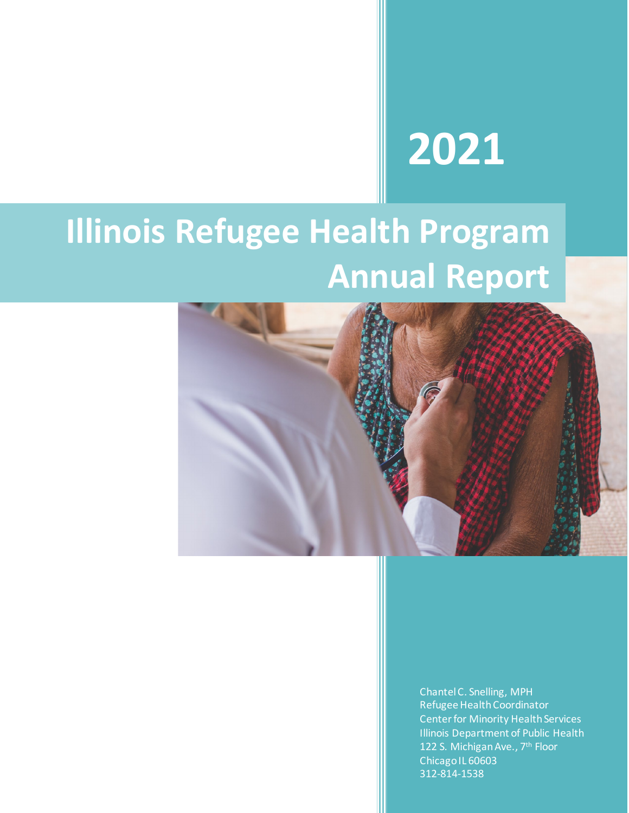# **2021**

## **Illinois Refugee Health Program Annual Report**



Chantel C. Snelling, MPH Refugee Health Coordinator Center for Minority Health Services Illinois Department of Public Health 122 S. Michigan Ave., 7<sup>th</sup> Floor Chicago IL 60603 312-814-1538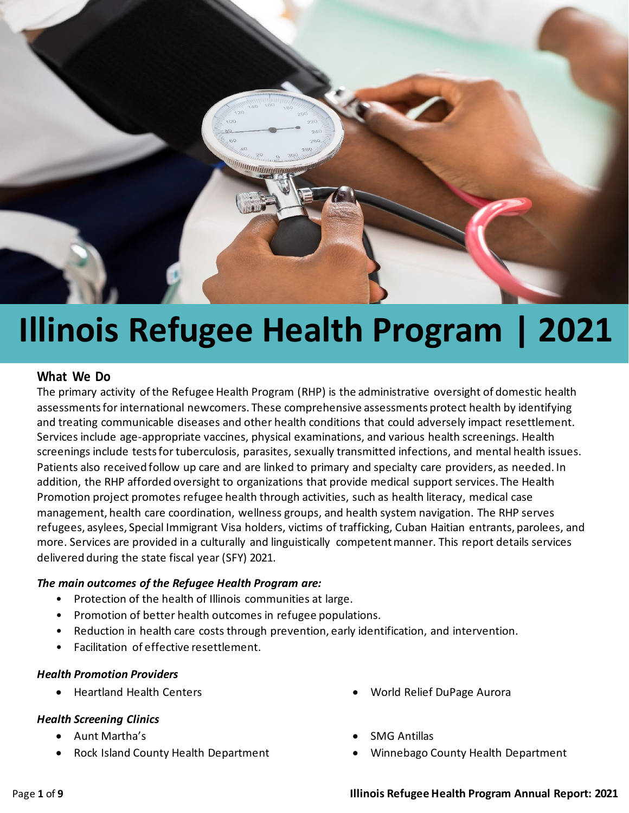

### **Illinois Refugee Health Program | 2021**

#### **What We Do**

The primary activity of the Refugee Health Program (RHP) is the administrative oversight of domestic health assessments for international newcomers. These comprehensive assessments protect health by identifying and treating communicable diseases and other health conditions that could adversely impact resettlement. Services include age-appropriate vaccines, physical examinations, and various health screenings. Health screenings include tests for tuberculosis, parasites, sexually transmitted infections, and mental health issues. Patients also received follow up care and are linked to primary and specialty care providers, as needed. In addition, the RHP afforded oversight to organizations that provide medical support services. The Health Promotion project promotes refugee health through activities, such as health literacy, medical case management, health care coordination, wellness groups, and health system navigation. The RHP serves refugees, asylees, Special Immigrant Visa holders, victims of trafficking, Cuban Haitian entrants, parolees, and more. Services are provided in a culturally and linguistically competent manner. This report details services delivered during the state fiscal year (SFY) 2021.

#### *The main outcomes of the Refugee Health Program are:*

- Protection of the health of Illinois communities at large.
- Promotion of better health outcomes in refugee populations.
- Reduction in health care costs through prevention, early identification, and intervention.
- Facilitation of effective resettlement.

#### *Health Promotion Providers*

#### *Health Screening Clinics*

- Aunt Martha's
- Rock Island County Health Department
- Heartland Health Centers World Relief DuPage Aurora
	- SMG Antillas
	- Winnebago County Health Department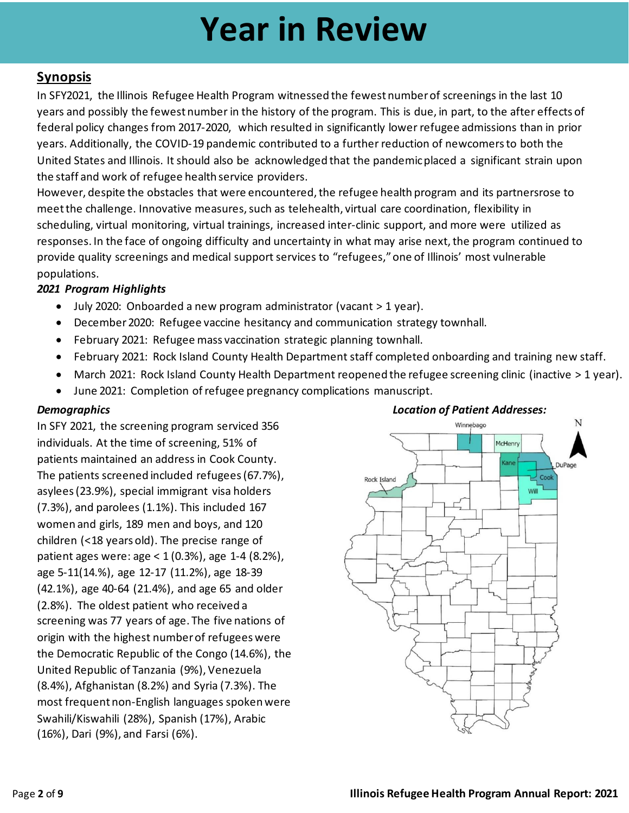### **Year in Review**

#### **Synopsis**

In SFY2021, the Illinois Refugee Health Program witnessed the fewest number of screenings in the last 10 years and possibly the fewest number in the history of the program. This is due, in part, to the after effects of federal policy changes from 2017-2020, which resulted in significantly lower refugee admissions than in prior years. Additionally, the COVID-19 pandemic contributed to a further reduction of newcomersto both the United States and Illinois. It should also be acknowledged that the pandemicplaced a significant strain upon the staff and work of refugee health service providers.

However, despite the obstacles that were encountered, the refugee health program and its partnersrose to meet the challenge. Innovative measures, such as telehealth, virtual care coordination, flexibility in scheduling, virtual monitoring, virtual trainings, increased inter-clinic support, and more were utilized as responses. In the face of ongoing difficulty and uncertainty in what may arise next, the program continued to provide quality screenings and medical support services to "refugees,"one of Illinois' most vulnerable populations.

#### *2021 Program Highlights*

- July 2020: Onboarded a new program administrator (vacant > 1 year).
- December 2020: Refugee vaccine hesitancy and communication strategy townhall.
- February 2021: Refugee mass vaccination strategic planning townhall.
- February 2021: Rock Island County Health Department staff completed onboarding and training new staff.
- March 2021: Rock Island County Health Department reopened the refugee screening clinic (inactive > 1 year).
- June 2021: Completion of refugee pregnancy complications manuscript.

In SFY 2021, the screening program serviced 356 individuals. At the time of screening, 51% of patients maintained an address in Cook County. The patients screened included refugees (67.7%), asylees (23.9%), special immigrant visa holders (7.3%), and parolees (1.1%). This included 167 women and girls, 189 men and boys, and 120 children (<18 years old). The precise range of patient ages were: age < 1 (0.3%), age 1-4 (8.2%), age 5-11(14.%), age 12-17 (11.2%), age 18-39 (42.1%), age 40-64 (21.4%), and age 65 and older (2.8%). The oldest patient who received a screening was 77 years of age. The five nations of origin with the highest number of refugees were the Democratic Republic of the Congo (14.6%), the United Republic of Tanzania (9%), Venezuela (8.4%), Afghanistan (8.2%) and Syria (7.3%). The most frequent non-English languages spoken were Swahili/Kiswahili (28%), Spanish (17%), Arabic (16%), Dari (9%), and Farsi (6%).

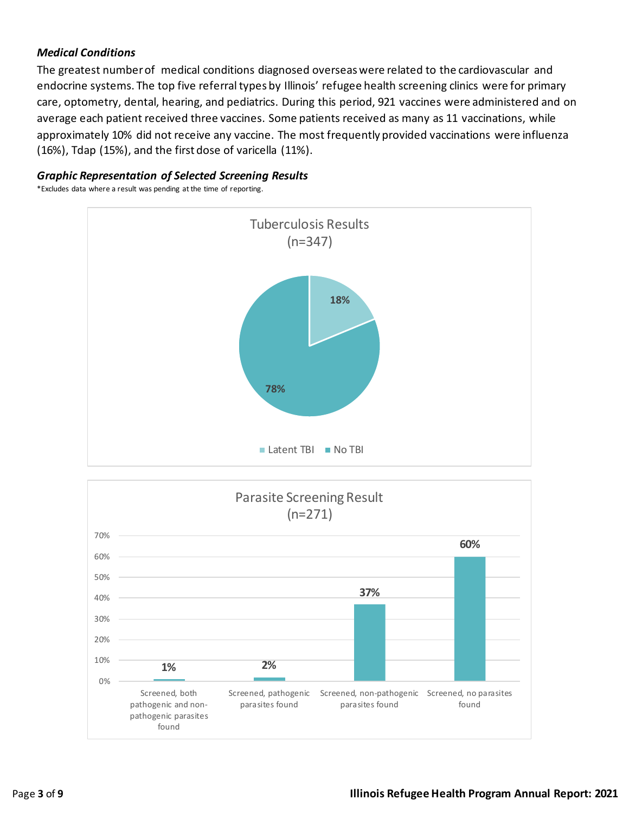#### *Medical Conditions*

The greatest number of medical conditions diagnosed overseas were related to the cardiovascular and endocrine systems. The top five referral types by Illinois' refugee health screening clinics were for primary care, optometry, dental, hearing, and pediatrics. During this period, 921 vaccines were administered and on average each patient received three vaccines. Some patients received as many as 11 vaccinations, while approximately 10% did not receive any vaccine. The most frequently provided vaccinations were influenza (16%), Tdap (15%), and the first dose of varicella (11%).

#### *Graphic Representation of Selected Screening Results*

\*Excludes data where a result was pending at the time of reporting.



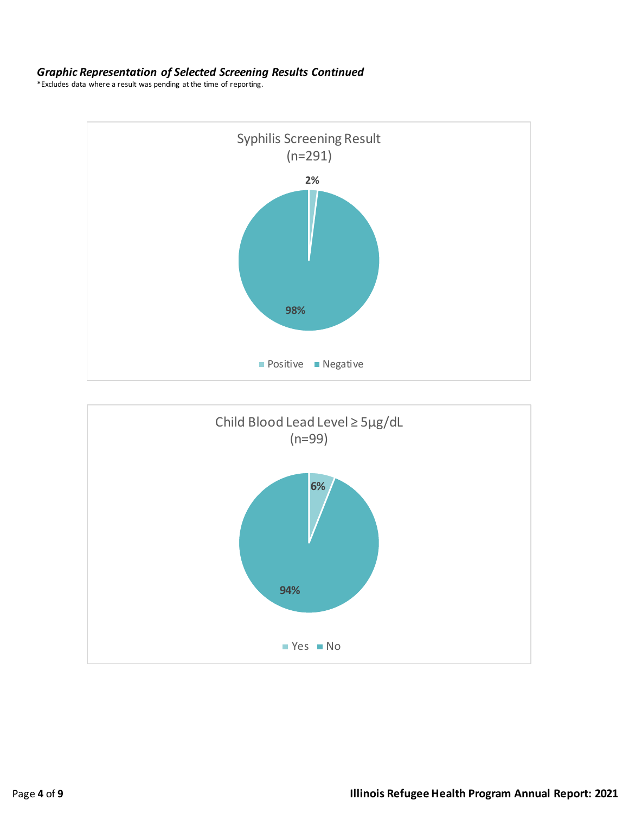#### *Graphic Representation of Selected Screening Results Continued*

\*Excludes data where a result was pending at the time of reporting.



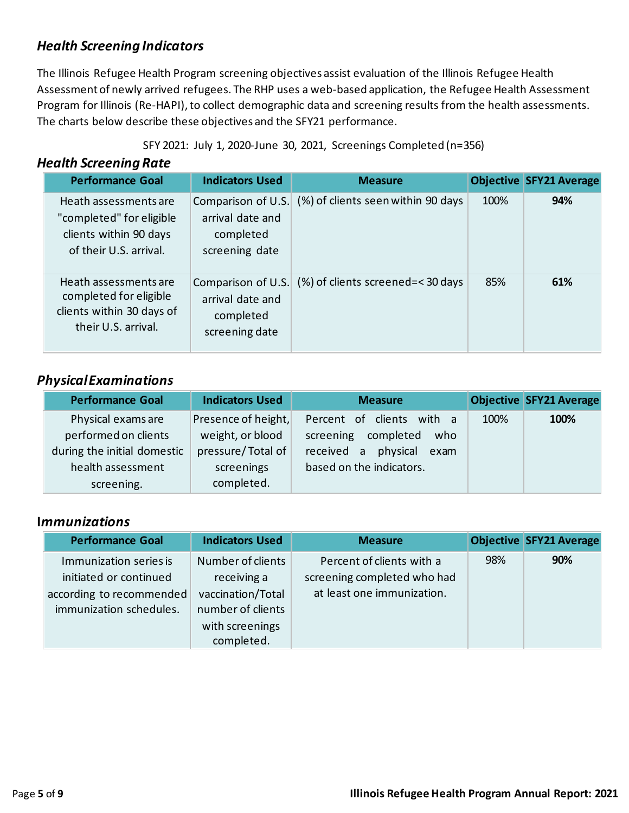#### *Health Screening Indicators*

The Illinois Refugee Health Program screening objectives assist evaluation of the Illinois Refugee Health Assessment of newly arrived refugees. The RHP uses a web-based application, the Refugee Health Assessment Program for Illinois (Re-HAPI), to collect demographic data and screening results from the health assessments. The charts below describe these objectives and the SFY21 performance.

|  |  |  |  |  |  |  | SFY 2021: July 1, 2020-June 30, 2021, Screenings Completed (n=356) |  |
|--|--|--|--|--|--|--|--------------------------------------------------------------------|--|
|--|--|--|--|--|--|--|--------------------------------------------------------------------|--|

#### **Health Screening Rate**

| <b>Performance Goal</b>                                                                               | <b>Indicators Used</b>                                                | <b>Measure</b>                     |      | <b>Objective SFY21 Average</b> |
|-------------------------------------------------------------------------------------------------------|-----------------------------------------------------------------------|------------------------------------|------|--------------------------------|
| Heath assessments are<br>"completed" for eligible<br>clients within 90 days<br>of their U.S. arrival. | Comparison of U.S.<br>arrival date and<br>completed<br>screening date | (%) of clients seen within 90 days | 100% | 94%                            |
| Heath assessments are<br>completed for eligible<br>clients within 30 days of<br>their U.S. arrival.   | Comparison of U.S.<br>arrival date and<br>completed<br>screening date | (%) of clients screened=<30 days   | 85%  | 61%                            |

#### *PhysicalExaminations*

| <b>Performance Goal</b>     | <b>Indicators Used</b> | <b>Measure</b>                |      | <b>Objective SFY21 Average</b> |
|-----------------------------|------------------------|-------------------------------|------|--------------------------------|
| Physical exams are          | Presence of height,    | Percent of clients<br>with a  | 100% | 100%                           |
| performed on clients        | weight, or blood       | screening<br>completed<br>who |      |                                |
| during the initial domestic | pressure/Total of      | received a physical<br>exam   |      |                                |
| health assessment           | screenings             | based on the indicators.      |      |                                |
| screening.                  | completed.             |                               |      |                                |

#### **I***mmunizations*

| <b>Performance Goal</b>  | <b>Indicators Used</b> | <b>Measure</b>              |     | <b>Objective SFY21 Average</b> |
|--------------------------|------------------------|-----------------------------|-----|--------------------------------|
| Immunization series is   | Number of clients      | Percent of clients with a   | 98% | 90%                            |
| initiated or continued   | receiving a            | screening completed who had |     |                                |
| according to recommended | vaccination/Total      | at least one immunization.  |     |                                |
| immunization schedules.  | number of clients      |                             |     |                                |
|                          | with screenings        |                             |     |                                |
|                          | completed.             |                             |     |                                |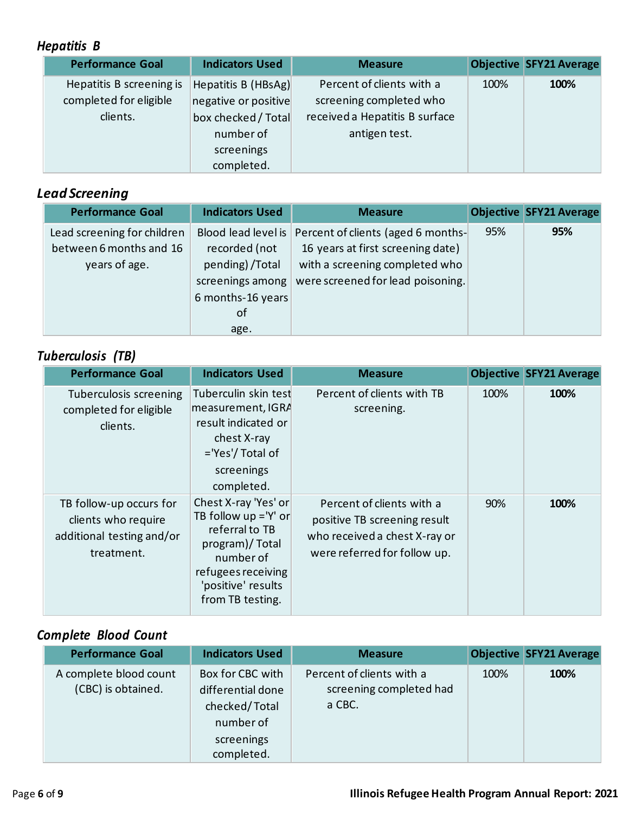#### *Hepatitis B*

| <b>Performance Goal</b>  | <b>Indicators Used</b> | <b>Measure</b>                 |      | <b>Objective SFY21 Average</b> |
|--------------------------|------------------------|--------------------------------|------|--------------------------------|
| Hepatitis B screening is | Hepatitis B (HBsAg)    | Percent of clients with a      | 100% | 100%                           |
| completed for eligible   | negative or positive   | screening completed who        |      |                                |
| clients.                 | box checked / Total    | received a Hepatitis B surface |      |                                |
|                          | number of              | antigen test.                  |      |                                |
|                          | screenings             |                                |      |                                |
|                          | completed.             |                                |      |                                |

#### *Lead Screening*

| <b>Performance Goal</b>                                                 | <b>Indicators Used</b>                                                                   | <b>Measure</b>                                                                                                                                                       |     | <b>Objective SFY21 Average</b> |
|-------------------------------------------------------------------------|------------------------------------------------------------------------------------------|----------------------------------------------------------------------------------------------------------------------------------------------------------------------|-----|--------------------------------|
| Lead screening for children<br>between 6 months and 16<br>years of age. | recorded (not<br>pending) / Total<br>screenings among<br>6 months-16 years<br>of<br>age. | Blood lead level is   Percent of clients (aged 6 months-<br>16 years at first screening date)<br>with a screening completed who<br>were screened for lead poisoning. | 95% | 95%                            |

#### *Tuberculosis (TB)*

| <b>Performance Goal</b>                                                                   | <b>Indicators Used</b>                                                                                                                                           | <b>Measure</b>                                                                                                             |      | <b>Objective SFY21 Average</b> |
|-------------------------------------------------------------------------------------------|------------------------------------------------------------------------------------------------------------------------------------------------------------------|----------------------------------------------------------------------------------------------------------------------------|------|--------------------------------|
| Tuberculosis screening<br>completed for eligible<br>clients.                              | Tuberculin skin test<br>measurement, IGRA<br>result indicated or<br>chest X-ray<br>='Yes'/ Total of<br>screenings<br>completed.                                  | Percent of clients with TB<br>screening.                                                                                   | 100% | 100%                           |
| TB follow-up occurs for<br>clients who require<br>additional testing and/or<br>treatment. | Chest X-ray 'Yes' or<br>TB follow $up = 'Y'$ or<br>referral to TB<br>program)/Total<br>number of<br>refugees receiving<br>'positive' results<br>from TB testing. | Percent of clients with a<br>positive TB screening result<br>who received a chest X-ray or<br>were referred for follow up. | 90%  | 100%                           |

### *Complete Blood Count*

| <b>Performance Goal</b>                      | <b>Indicators Used</b>                                                                          | <b>Measure</b>                                                 |      | <b>Objective SFY21 Average</b> |
|----------------------------------------------|-------------------------------------------------------------------------------------------------|----------------------------------------------------------------|------|--------------------------------|
| A complete blood count<br>(CBC) is obtained. | Box for CBC with<br>differential done<br>checked/Total<br>number of<br>screenings<br>completed. | Percent of clients with a<br>screening completed had<br>a CBC. | 100% | 100%                           |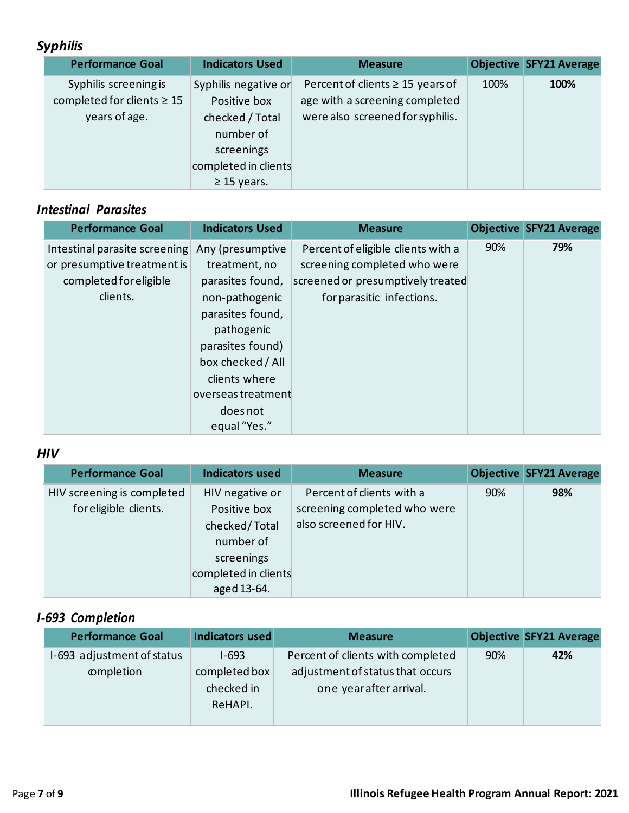### *Syphilis*

| <b>Performance Goal</b>         | <b>Indicators Used</b> | <b>Measure</b>                        |      | <b>Objective SFY21 Average</b> |
|---------------------------------|------------------------|---------------------------------------|------|--------------------------------|
| Syphilis screening is           | Syphilis negative or   | Percent of clients $\geq$ 15 years of | 100% | 100%                           |
| completed for clients $\geq 15$ | Positive box           | age with a screening completed        |      |                                |
| years of age.                   | checked / Total        | were also screened for syphilis.      |      |                                |
|                                 | number of              |                                       |      |                                |
|                                 | screenings             |                                       |      |                                |
|                                 | completed in clients   |                                       |      |                                |
|                                 | $\geq$ 15 years.       |                                       |      |                                |

#### *Intestinal Parasites*

| <b>Performance Goal</b>       | <b>Indicators Used</b> | <b>Measure</b>                     |     | <b>Objective SFY21 Average</b> |
|-------------------------------|------------------------|------------------------------------|-----|--------------------------------|
| Intestinal parasite screening | Any (presumptive       | Percent of eligible clients with a | 90% | 79%                            |
| or presumptive treatment is   | treatment, no          | screening completed who were       |     |                                |
| completed for eligible        | parasites found,       | screened or presumptively treated  |     |                                |
| clients.                      | non-pathogenic         | for parasitic infections.          |     |                                |
|                               | parasites found,       |                                    |     |                                |
|                               | pathogenic             |                                    |     |                                |
|                               | parasites found)       |                                    |     |                                |
|                               | box checked / All      |                                    |     |                                |
|                               | clients where          |                                    |     |                                |
|                               | overseas treatment     |                                    |     |                                |
|                               | does not               |                                    |     |                                |
|                               | equal "Yes."           |                                    |     |                                |

#### *HIV*

| <b>Performance Goal</b>                             | <b>Indicators used</b>                                                                                             | <b>Measure</b>                                                                      |     | <b>Objective SFY21 Average</b> |
|-----------------------------------------------------|--------------------------------------------------------------------------------------------------------------------|-------------------------------------------------------------------------------------|-----|--------------------------------|
| HIV screening is completed<br>for eligible clients. | HIV negative or<br>Positive box<br>checked/Total<br>number of<br>screenings<br>completed in clients<br>aged 13-64. | Percent of clients with a<br>screening completed who were<br>also screened for HIV. | 90% | 98%                            |

#### *I-693 Completion*

| <b>Performance Goal</b>    | Indicators used | <b>Measure</b>                    |     | <b>Objective SFY21 Average</b> |
|----------------------------|-----------------|-----------------------------------|-----|--------------------------------|
| I-693 adjustment of status | $I-693$         | Percent of clients with completed | 90% | 42%                            |
| completion                 | completed box   | adjustment of status that occurs  |     |                                |
|                            | checked in      | one year after arrival.           |     |                                |
|                            | ReHAPI.         |                                   |     |                                |
|                            |                 |                                   |     |                                |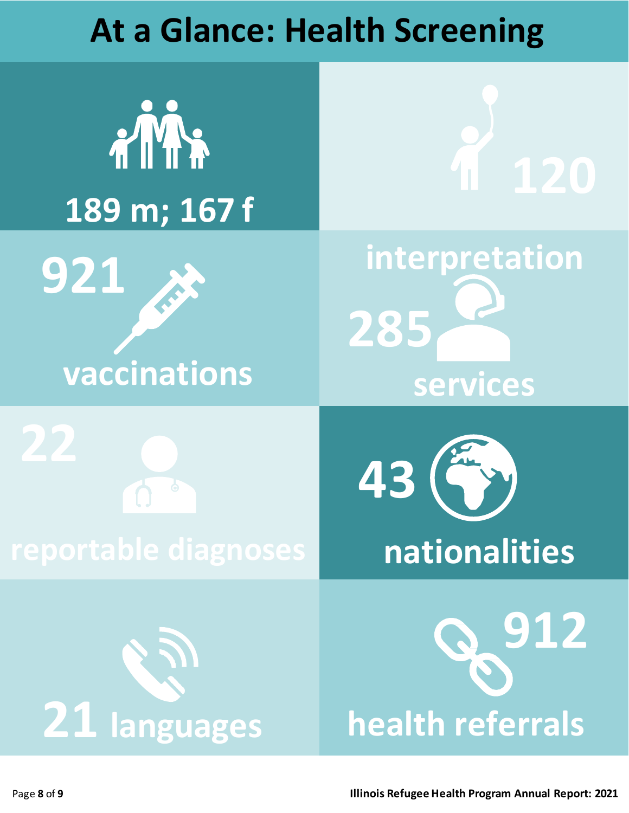### **At a Glance: Health Screening**